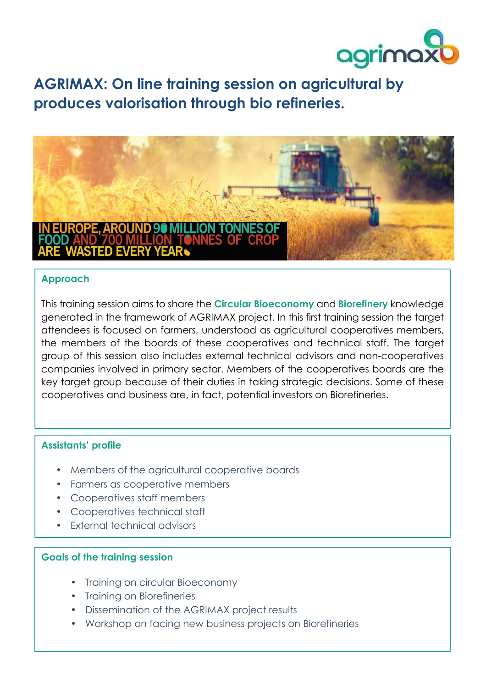

 **produces valorisation through bio refineries. AGRIMAX: On line training session on agricultural by** 



## **Approach**

This training session aims to share the **Circular Bioeconomy** and **Biorefinery** knowledge generated in the framework of AGRIMAX project. In this first training session the target attendees is focused on farmers, understood as agricultural cooperatives members, the members of the boards of these cooperatives and technical staff. The target group of this session also includes external technical advisors and non-cooperatives companies involved in primary sector. Members of the cooperatives boards are the key target group because of their duties in taking strategic decisions. Some of these cooperatives and business are, in fact, potential investors on Biorefineries.

## **Assistants' profile**

- Members of the agricultural cooperative boards
- Farmers as cooperative members
- Cooperatives staff members
- Cooperatives technical staff
- External technical advisors

## **Goals of the training session**

- Training on circular Bioeconomy
- Training on Biorefineries
- Dissemination of the AGRIMAX project results
- Workshop on facing new business projects on Biorefineries